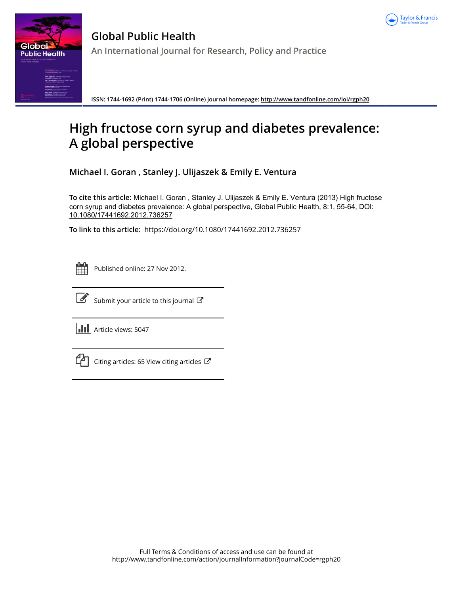



**Global Public Health An International Journal for Research, Policy and Practice**

**ISSN: 1744-1692 (Print) 1744-1706 (Online) Journal homepage:<http://www.tandfonline.com/loi/rgph20>**

# **High fructose corn syrup and diabetes prevalence: A global perspective**

**Michael I. Goran , Stanley J. Ulijaszek & Emily E. Ventura**

**To cite this article:** Michael I. Goran , Stanley J. Ulijaszek & Emily E. Ventura (2013) High fructose corn syrup and diabetes prevalence: A global perspective, Global Public Health, 8:1, 55-64, DOI: [10.1080/17441692.2012.736257](http://www.tandfonline.com/action/showCitFormats?doi=10.1080/17441692.2012.736257)

**To link to this article:** <https://doi.org/10.1080/17441692.2012.736257>

|  | - |  |
|--|---|--|
|  |   |  |
|  |   |  |
|  |   |  |

Published online: 27 Nov 2012.



 $\overrightarrow{S}$  [Submit your article to this journal](http://www.tandfonline.com/action/authorSubmission?journalCode=rgph20&show=instructions)  $\overrightarrow{S}$ 

**III** Article views: 5047



 $\mathbb{C}\Box$  [Citing articles: 65 View citing articles](http://www.tandfonline.com/doi/citedby/10.1080/17441692.2012.736257#tabModule)  $\mathbb{C}\Box$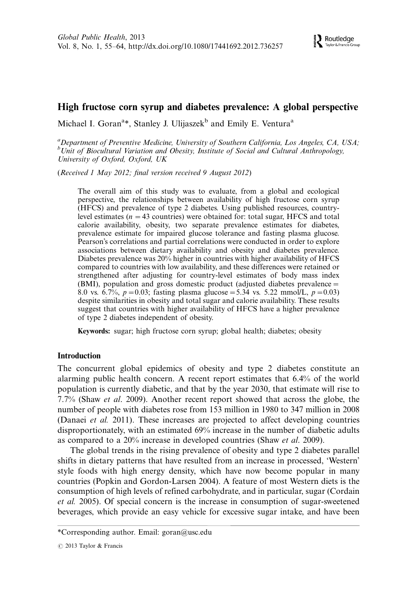# High fructose corn syrup and diabetes prevalence: A global perspective

Michael I. Goran<sup>a</sup>\*, Stanley J. Ulijaszek<sup>b</sup> and Emily E. Ventura<sup>a</sup>

<sup>a</sup> Department of Preventive Medicine, University of Southern California, Los Angeles, CA, USA;  $^{b}$ Unit of Biocultural Variation and Obesity, Institute of Social and Cultural Anthropology, University of Oxford, Oxford, UK

(Received 1 May 2012; final version received 9 August 2012)

The overall aim of this study was to evaluate, from a global and ecological perspective, the relationships between availability of high fructose corn syrup (HFCS) and prevalence of type 2 diabetes. Using published resources, countrylevel estimates ( $n = 43$  countries) were obtained for: total sugar, HFCS and total calorie availability, obesity, two separate prevalence estimates for diabetes, prevalence estimate for impaired glucose tolerance and fasting plasma glucose. Pearson's correlations and partial correlations were conducted in order to explore associations between dietary availability and obesity and diabetes prevalence. Diabetes prevalence was 20% higher in countries with higher availability of HFCS compared to countries with low availability, and these differences were retained or strengthened after adjusting for country-level estimates of body mass index (BMI), population and gross domestic product (adjusted diabetes prevalence 8.0 vs. 6.7%,  $p=0.03$ ; fasting plasma glucose = 5.34 vs. 5.22 mmol/L,  $p=0.03$ ) despite similarities in obesity and total sugar and calorie availability. These results suggest that countries with higher availability of HFCS have a higher prevalence of type 2 diabetes independent of obesity.

Keywords: sugar; high fructose corn syrup; global health; diabetes; obesity

## Introduction

The concurrent global epidemics of obesity and type 2 diabetes constitute an alarming public health concern. A recent report estimates that 6.4% of the world population is currently diabetic, and that by the year 2030, that estimate will rise to 7.7% (Shaw et al. 2009). Another recent report showed that across the globe, the number of people with diabetes rose from 153 million in 1980 to 347 million in 2008 (Danaei et al. 2011). These increases are projected to affect developing countries disproportionately, with an estimated 69% increase in the number of diabetic adults as compared to a 20% increase in developed countries (Shaw et al. 2009).

The global trends in the rising prevalence of obesity and type 2 diabetes parallel shifts in dietary patterns that have resulted from an increase in processed, 'Western' style foods with high energy density, which have now become popular in many countries (Popkin and Gordon-Larsen 2004). A feature of most Western diets is the consumption of high levels of refined carbohydrate, and in particular, sugar (Cordain et al. 2005). Of special concern is the increase in consumption of sugar-sweetened beverages, which provide an easy vehicle for excessive sugar intake, and have been

<sup>\*</sup>Corresponding author. Email: goran@usc.edu

 $\odot$  2013 Taylor & Francis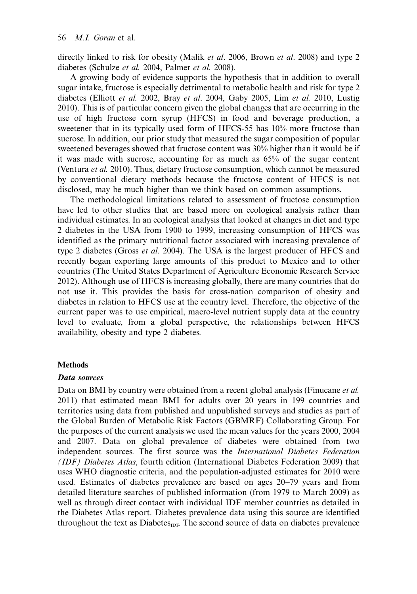directly linked to risk for obesity (Malik *et al.* 2006, Brown *et al.* 2008) and type 2 diabetes (Schulze et al. 2004, Palmer et al. 2008).

A growing body of evidence supports the hypothesis that in addition to overall sugar intake, fructose is especially detrimental to metabolic health and risk for type 2 diabetes (Elliott et al. 2002, Bray et al. 2004, Gaby 2005, Lim et al. 2010, Lustig 2010). This is of particular concern given the global changes that are occurring in the use of high fructose corn syrup (HFCS) in food and beverage production, a sweetener that in its typically used form of HFCS-55 has 10% more fructose than sucrose. In addition, our prior study that measured the sugar composition of popular sweetened beverages showed that fructose content was 30% higher than it would be if it was made with sucrose, accounting for as much as 65% of the sugar content (Ventura et al. 2010). Thus, dietary fructose consumption, which cannot be measured by conventional dietary methods because the fructose content of HFCS is not disclosed, may be much higher than we think based on common assumptions.

The methodological limitations related to assessment of fructose consumption have led to other studies that are based more on ecological analysis rather than individual estimates. In an ecological analysis that looked at changes in diet and type 2 diabetes in the USA from 1900 to 1999, increasing consumption of HFCS was identified as the primary nutritional factor associated with increasing prevalence of type 2 diabetes (Gross *et al.* 2004). The USA is the largest producer of HFCS and recently began exporting large amounts of this product to Mexico and to other countries (The United States Department of Agriculture Economic Research Service 2012). Although use of HFCS is increasing globally, there are many countries that do not use it. This provides the basis for cross-nation comparison of obesity and diabetes in relation to HFCS use at the country level. Therefore, the objective of the current paper was to use empirical, macro-level nutrient supply data at the country level to evaluate, from a global perspective, the relationships between HFCS availability, obesity and type 2 diabetes.

#### **Methods**

#### Data sources

Data on BMI by country were obtained from a recent global analysis (Finucane *et al.*) 2011) that estimated mean BMI for adults over 20 years in 199 countries and territories using data from published and unpublished surveys and studies as part of the Global Burden of Metabolic Risk Factors (GBMRF) Collaborating Group. For the purposes of the current analysis we used the mean values for the years 2000, 2004 and 2007. Data on global prevalence of diabetes were obtained from two independent sources. The first source was the International Diabetes Federation (IDF) Diabetes Atlas, fourth edition (International Diabetes Federation 2009) that uses WHO diagnostic criteria, and the population-adjusted estimates for 2010 were used. Estimates of diabetes prevalence are based on ages 20-79 years and from detailed literature searches of published information (from 1979 to March 2009) as well as through direct contact with individual IDF member countries as detailed in the Diabetes Atlas report. Diabetes prevalence data using this source are identified throughout the text as Diabetes<sub>IDF</sub>. The second source of data on diabetes prevalence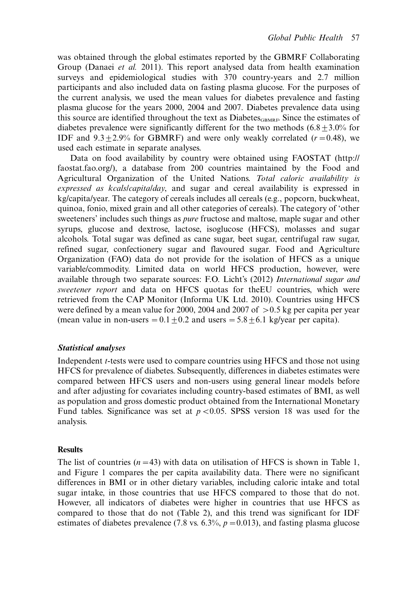was obtained through the global estimates reported by the GBMRF Collaborating Group (Danaei et al. 2011). This report analysed data from health examination surveys and epidemiological studies with 370 country-years and 2.7 million participants and also included data on fasting plasma glucose. For the purposes of the current analysis, we used the mean values for diabetes prevalence and fasting plasma glucose for the years 2000, 2004 and 2007. Diabetes prevalence data using this source are identified throughout the text as  $Di$  abetes<sub>GBMRF</sub>. Since the estimates of diabetes prevalence were significantly different for the two methods  $(6.8+3.0\%$  for IDF and  $9.3+2.9\%$  for GBMRF) and were only weakly correlated ( $r=0.48$ ), we used each estimate in separate analyses.

Data on food availability by country were obtained using FAOSTAT [\(http://](http://faostat.fao.org/) [faostat.fao.org/\)](http://faostat.fao.org/), a database from 200 countries maintained by the Food and Agricultural Organization of the United Nations. Total caloric availability is expressed as kcals/capita/day, and sugar and cereal availability is expressed in kg/capita/year. The category of cereals includes all cereals (e.g., popcorn, buckwheat, quinoa, fonio, mixed grain and all other categories of cereals). The category of 'other sweeteners' includes such things as pure fructose and maltose, maple sugar and other syrups, glucose and dextrose, lactose, isoglucose (HFCS), molasses and sugar alcohols. Total sugar was defined as cane sugar, beet sugar, centrifugal raw sugar, refined sugar, confectionery sugar and flavoured sugar. Food and Agriculture Organization (FAO) data do not provide for the isolation of HFCS as a unique variable/commodity. Limited data on world HFCS production, however, were available through two separate sources: F.O. Licht's (2012) International sugar and sweetener report and data on HFCS quotas for theEU countries, which were retrieved from the CAP Monitor (Informa UK Ltd. 2010). Countries using HFCS were defined by a mean value for 2000, 2004 and 2007 of  $>$  0.5 kg per capita per year (mean value in non-users  $= 0.1 \pm 0.2$  and users  $= 5.8 \pm 6.1$  kg/year per capita).

## Statistical analyses

Independent t-tests were used to compare countries using HFCS and those not using HFCS for prevalence of diabetes. Subsequently, differences in diabetes estimates were compared between HFCS users and non-users using general linear models before and after adjusting for covariates including country-based estimates of BMI, as well as population and gross domestic product obtained from the International Monetary Fund tables. Significance was set at  $p < 0.05$ . SPSS version 18 was used for the analysis.

## **Results**

The list of countries ( $n=43$ ) with data on utilisation of HFCS is shown in Table 1, and Figure 1 compares the per capita availability data. There were no significant differences in BMI or in other dietary variables, including caloric intake and total sugar intake, in those countries that use HFCS compared to those that do not. However, all indicators of diabetes were higher in countries that use HFCS as compared to those that do not (Table 2), and this trend was significant for IDF estimates of diabetes prevalence (7.8 vs. 6.3%,  $p=0.013$ ), and fasting plasma glucose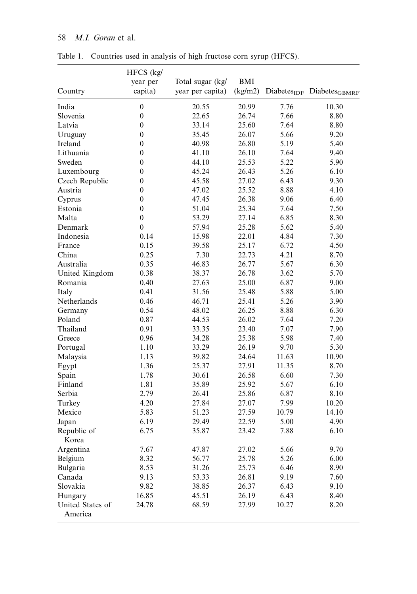# 58 M.I. Goran et al.

|                             | HFCS (kg/        |                  |            |       |                                                   |
|-----------------------------|------------------|------------------|------------|-------|---------------------------------------------------|
|                             | year per         | Total sugar (kg/ | <b>BMI</b> |       |                                                   |
| Country                     | capita)          | year per capita) | (kg/m2)    |       | Diabetes <sub>IDF</sub> Diabetes <sub>GBMRF</sub> |
| India                       | $\boldsymbol{0}$ | 20.55            | 20.99      | 7.76  | 10.30                                             |
| Slovenia                    | $\mathbf{0}$     | 22.65            | 26.74      | 7.66  | 8.80                                              |
| Latvia                      | $\boldsymbol{0}$ | 33.14            | 25.60      | 7.64  | 8.80                                              |
| Uruguay                     | $\boldsymbol{0}$ | 35.45            | 26.07      | 5.66  | 9.20                                              |
| Ireland                     | $\overline{0}$   | 40.98            | 26.80      | 5.19  | 5.40                                              |
| Lithuania                   | $\boldsymbol{0}$ | 41.10            | 26.10      | 7.64  | 9.40                                              |
| Sweden                      | $\overline{0}$   | 44.10            | 25.53      | 5.22  | 5.90                                              |
| Luxembourg                  | $\boldsymbol{0}$ | 45.24            | 26.43      | 5.26  | 6.10                                              |
| Czech Republic              | $\boldsymbol{0}$ | 45.58            | 27.02      | 6.43  | 9.30                                              |
| Austria                     | $\boldsymbol{0}$ | 47.02            | 25.52      | 8.88  | 4.10                                              |
| Cyprus                      | $\overline{0}$   | 47.45            | 26.38      | 9.06  | 6.40                                              |
| Estonia                     | $\boldsymbol{0}$ | 51.04            | 25.34      | 7.64  | 7.50                                              |
| Malta                       | $\mathbf{0}$     | 53.29            | 27.14      | 6.85  | 8.30                                              |
| Denmark                     | $\mathbf{0}$     | 57.94            | 25.28      | 5.62  | 5.40                                              |
| Indonesia                   | 0.14             | 15.98            | 22.01      | 4.84  | 7.30                                              |
| France                      | 0.15             | 39.58            | 25.17      | 6.72  | 4.50                                              |
| China                       | 0.25             | 7.30             | 22.73      | 4.21  | 8.70                                              |
| Australia                   | 0.35             | 46.83            | 26.77      | 5.67  | 6.30                                              |
| United Kingdom              | 0.38             | 38.37            | 26.78      | 3.62  | 5.70                                              |
| Romania                     | 0.40             | 27.63            | 25.00      | 6.87  | 9.00                                              |
| Italy                       | 0.41             | 31.56            | 25.48      | 5.88  | 5.00                                              |
| Netherlands                 | 0.46             | 46.71            | 25.41      | 5.26  | 3.90                                              |
| Germany                     | 0.54             | 48.02            | 26.25      | 8.88  | 6.30                                              |
| Poland                      | 0.87             | 44.53            | 26.02      | 7.64  | 7.20                                              |
| Thailand                    | 0.91             | 33.35            | 23.40      | 7.07  | 7.90                                              |
| Greece                      | 0.96             | 34.28            | 25.38      | 5.98  | 7.40                                              |
| Portugal                    | 1.10             | 33.29            | 26.19      | 9.70  | 5.30                                              |
| Malaysia                    | 1.13             | 39.82            | 24.64      | 11.63 | 10.90                                             |
| Egypt                       | 1.36             | 25.37            | 27.91      | 11.35 | 8.70                                              |
| Spain                       | 1.78             | 30.61            | 26.58      | 6.60  | 7.30                                              |
| Finland                     | 1.81             | 35.89            | 25.92      | 5.67  | 6.10                                              |
| Serbia                      | 2.79             | 26.41            | 25.86      | 6.87  | 8.10                                              |
| Turkey                      | 4.20             | 27.84            | 27.07      | 7.99  | 10.20                                             |
| Mexico                      | 5.83             | 51.23            | 27.59      | 10.79 | 14.10                                             |
| Japan                       | 6.19             | 29.49            | 22.59      | 5.00  | 4.90                                              |
| Republic of                 | 6.75             | 35.87            | 23.42      | 7.88  | 6.10                                              |
| Korea                       |                  |                  |            |       |                                                   |
| Argentina                   | 7.67             | 47.87            | 27.02      | 5.66  | 9.70                                              |
| Belgium                     | 8.32             | 56.77            | 25.78      | 5.26  | 6.00                                              |
| Bulgaria                    | 8.53             | 31.26            | 25.73      | 6.46  | 8.90                                              |
| Canada                      | 9.13             | 53.33            | 26.81      | 9.19  | 7.60                                              |
| Slovakia                    | 9.82             | 38.85            | 26.37      | 6.43  | 9.10                                              |
| Hungary                     | 16.85            | 45.51            | 26.19      | 6.43  | 8.40                                              |
| United States of<br>America | 24.78            | 68.59            | 27.99      | 10.27 | 8.20                                              |

Table 1. Countries used in analysis of high fructose corn syrup (HFCS).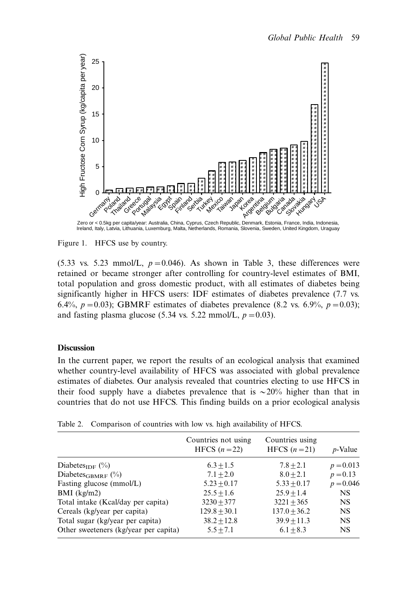

Figure 1. HFCS use by country.

(5.33 vs. 5.23 mmol/L,  $p=0.046$ ). As shown in Table 3, these differences were retained or became stronger after controlling for country-level estimates of BMI, total population and gross domestic product, with all estimates of diabetes being significantly higher in HFCS users: IDF estimates of diabetes prevalence (7.7 vs. 6.4%,  $p = 0.03$ ; GBMRF estimates of diabetes prevalence (8.2 vs. 6.9%,  $p = 0.03$ ); and fasting plasma glucose (5.34 vs. 5.22 mmol/L,  $p=0.03$ ).

## **Discussion**

In the current paper, we report the results of an ecological analysis that examined whether country-level availability of HFCS was associated with global prevalence estimates of diabetes. Our analysis revealed that countries electing to use HFCS in their food supply have a diabetes prevalence that is  $\sim 20\%$  higher than that in countries that do not use HFCS. This finding builds on a prior ecological analysis

|                                       | Countries not using<br>HFCS $(n=22)$ | Countries using<br>HFCS $(n=21)$ | <i>p</i> -Value |
|---------------------------------------|--------------------------------------|----------------------------------|-----------------|
| Diabetes <sub>IDF</sub> $(\%)$        | $6.3 + 1.5$                          | $7.8 + 2.1$                      | $p = 0.013$     |
| Diabetes <sub>GBMRF</sub> $(\%)$      | $7.1 + 2.0$                          | $8.0 + 2.1$                      | $p = 0.13$      |
| Fasting glucose (mmol/L)              | $5.23 + 0.17$                        | $5.33 + 0.17$                    | $p = 0.046$     |
| $BMI$ (kg/m2)                         | $25.5 + 1.6$                         | $25.9 + 1.4$                     | <b>NS</b>       |
| Total intake (Keal/day per capita)    | $3230 + 377$                         | $3221 + 365$                     | <b>NS</b>       |
| Cereals (kg/year per capita)          | $129.8 + 30.1$                       | $137.0 + 36.2$                   | <b>NS</b>       |
| Total sugar (kg/year per capita)      | $38.2 + 12.8$                        | $39.9 + 11.3$                    | <b>NS</b>       |
| Other sweeteners (kg/year per capita) | $5.5 + 7.1$                          | $6.1 + 8.3$                      | <b>NS</b>       |

Table 2. Comparison of countries with low vs. high availability of HFCS.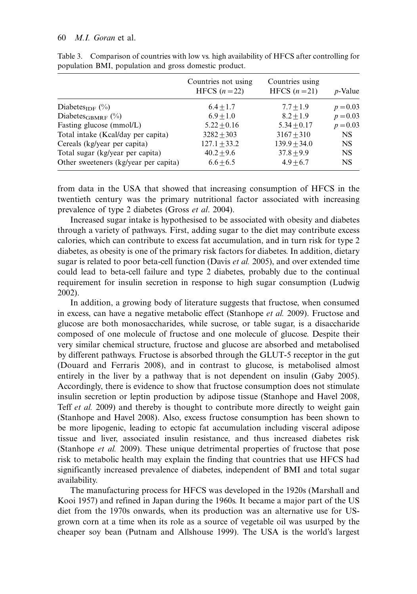#### 60 M.I. Goran et al.

|                                       | Countries not using<br>HFCS $(n=22)$ | Countries using<br>HFCS $(n=21)$ | <i>p</i> -Value |
|---------------------------------------|--------------------------------------|----------------------------------|-----------------|
| Diabetes <sub>IDF</sub> $(\%)$        | $6.4 + 1.7$                          | $7.7 + 1.9$                      | $p = 0.03$      |
| Diabetes <sub>GBMRF</sub> $(\%)$      | $6.9 + 1.0$                          | $8.2 + 1.9$                      | $p = 0.03$      |
| Fasting glucose (mmol/L)              | $5.22 + 0.16$                        | $5.34 + 0.17$                    | $p = 0.03$      |
| Total intake (Kcal/day per capita)    | $3282 + 303$                         | $3167 + 310$                     | NS.             |
| Cereals (kg/year per capita)          | $127.1 + 33.2$                       | $139.9 + 34.0$                   | NS.             |
| Total sugar (kg/year per capita)      | $40.2 + 9.6$                         | $37.8 + 9.9$                     | NS.             |
| Other sweeteners (kg/year per capita) | $6.6 + 6.5$                          | $4.9 + 6.7$                      | NS.             |

Table 3. Comparison of countries with low vs. high availability of HFCS after controlling for population BMI, population and gross domestic product.

from data in the USA that showed that increasing consumption of HFCS in the twentieth century was the primary nutritional factor associated with increasing prevalence of type 2 diabetes (Gross et al. 2004).

Increased sugar intake is hypothesised to be associated with obesity and diabetes through a variety of pathways. First, adding sugar to the diet may contribute excess calories, which can contribute to excess fat accumulation, and in turn risk for type 2 diabetes, as obesity is one of the primary risk factors for diabetes. In addition, dietary sugar is related to poor beta-cell function (Davis et al. 2005), and over extended time could lead to beta-cell failure and type 2 diabetes, probably due to the continual requirement for insulin secretion in response to high sugar consumption (Ludwig 2002).

In addition, a growing body of literature suggests that fructose, when consumed in excess, can have a negative metabolic effect (Stanhope et al. 2009). Fructose and glucose are both monosaccharides, while sucrose, or table sugar, is a disaccharide composed of one molecule of fructose and one molecule of glucose. Despite their very similar chemical structure, fructose and glucose are absorbed and metabolised by different pathways. Fructose is absorbed through the GLUT-5 receptor in the gut (Douard and Ferraris 2008), and in contrast to glucose, is metabolised almost entirely in the liver by a pathway that is not dependent on insulin (Gaby 2005). Accordingly, there is evidence to show that fructose consumption does not stimulate insulin secretion or leptin production by adipose tissue (Stanhope and Havel 2008, Teff et al. 2009) and thereby is thought to contribute more directly to weight gain (Stanhope and Havel 2008). Also, excess fructose consumption has been shown to be more lipogenic, leading to ectopic fat accumulation including visceral adipose tissue and liver, associated insulin resistance, and thus increased diabetes risk (Stanhope et al. 2009). These unique detrimental properties of fructose that pose risk to metabolic health may explain the finding that countries that use HFCS had significantly increased prevalence of diabetes, independent of BMI and total sugar availability.

The manufacturing process for HFCS was developed in the 1920s (Marshall and Kooi 1957) and refined in Japan during the 1960s. It became a major part of the US diet from the 1970s onwards, when its production was an alternative use for USgrown corn at a time when its role as a source of vegetable oil was usurped by the cheaper soy bean (Putnam and Allshouse 1999). The USA is the world's largest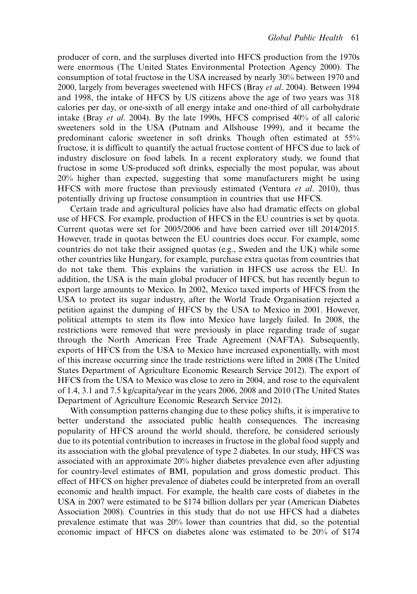producer of corn, and the surpluses diverted into HFCS production from the 1970s were enormous (The United States Environmental Protection Agency 2000). The consumption of total fructose in the USA increased by nearly 30% between 1970 and 2000, largely from beverages sweetened with HFCS (Bray et al. 2004). Between 1994 and 1998, the intake of HFCS by US citizens above the age of two years was 318 calories per day, or one-sixth of all energy intake and one-third of all carbohydrate intake (Bray et al. 2004). By the late 1990s, HFCS comprised 40% of all caloric sweeteners sold in the USA (Putnam and Allshouse 1999), and it became the predominant caloric sweetener in soft drinks. Though often estimated at 55% fructose, it is difficult to quantify the actual fructose content of HFCS due to lack of industry disclosure on food labels. In a recent exploratory study, we found that fructose in some US-produced soft drinks, especially the most popular, was about 20% higher than expected, suggesting that some manufacturers might be using HFCS with more fructose than previously estimated (Ventura et al. 2010), thus potentially driving up fructose consumption in countries that use HFCS.

Certain trade and agricultural policies have also had dramatic effects on global use of HFCS. For example, production of HFCS in the EU countries is set by quota. Current quotas were set for 2005/2006 and have been carried over till 2014/2015. However, trade in quotas between the EU countries does occur. For example, some countries do not take their assigned quotas (e.g., Sweden and the UK) while some other countries like Hungary, for example, purchase extra quotas from countries that do not take them. This explains the variation in HFCS use across the EU. In addition, the USA is the main global producer of HFCS, but has recently begun to export large amounts to Mexico. In 2002, Mexico taxed imports of HFCS from the USA to protect its sugar industry, after the World Trade Organisation rejected a petition against the dumping of HFCS by the USA to Mexico in 2001. However, political attempts to stem its flow into Mexico have largely failed. In 2008, the restrictions were removed that were previously in place regarding trade of sugar through the North American Free Trade Agreement (NAFTA). Subsequently, exports of HFCS from the USA to Mexico have increased exponentially, with most of this increase occurring since the trade restrictions were lifted in 2008 (The United States Department of Agriculture Economic Research Service 2012). The export of HFCS from the USA to Mexico was close to zero in 2004, and rose to the equivalent of 1.4, 3.1 and 7.5 kg/capita/year in the years 2006, 2008 and 2010 (The United States Department of Agriculture Economic Research Service 2012).

With consumption patterns changing due to these policy shifts, it is imperative to better understand the associated public health consequences. The increasing popularity of HFCS around the world should, therefore, be considered seriously due to its potential contribution to increases in fructose in the global food supply and its association with the global prevalence of type 2 diabetes. In our study, HFCS was associated with an approximate 20% higher diabetes prevalence even after adjusting for country-level estimates of BMI, population and gross domestic product. This effect of HFCS on higher prevalence of diabetes could be interpreted from an overall economic and health impact. For example, the health care costs of diabetes in the USA in 2007 were estimated to be \$174 billion dollars per year (American Diabetes Association 2008). Countries in this study that do not use HFCS had a diabetes prevalence estimate that was 20% lower than countries that did, so the potential economic impact of HFCS on diabetes alone was estimated to be 20% of \$174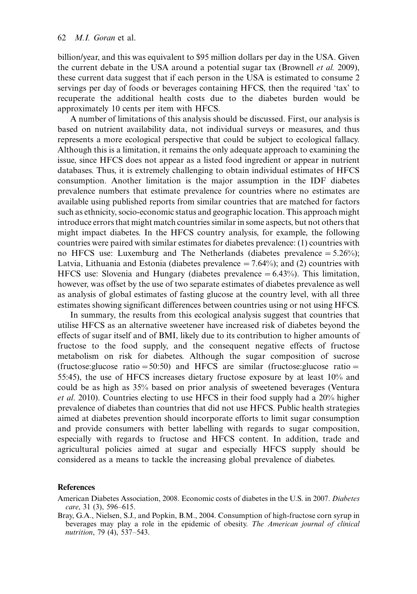billion/year, and this was equivalent to \$95 million dollars per day in the USA. Given the current debate in the USA around a potential sugar tax (Brownell et al. 2009), these current data suggest that if each person in the USA is estimated to consume 2 servings per day of foods or beverages containing HFCS, then the required 'tax' to recuperate the additional health costs due to the diabetes burden would be approximately 10 cents per item with HFCS.

A number of limitations of this analysis should be discussed. First, our analysis is based on nutrient availability data, not individual surveys or measures, and thus represents a more ecological perspective that could be subject to ecological fallacy. Although this is a limitation, it remains the only adequate approach to examining the issue, since HFCS does not appear as a listed food ingredient or appear in nutrient databases. Thus, it is extremely challenging to obtain individual estimates of HFCS consumption. Another limitation is the major assumption in the IDF diabetes prevalence numbers that estimate prevalence for countries where no estimates are available using published reports from similar countries that are matched for factors such as ethnicity, socio-economic status and geographic location. This approach might introduce errors that might match countries similar in some aspects, but not others that might impact diabetes. In the HFCS country analysis, for example, the following countries were paired with similar estimates for diabetes prevalence: (1) countries with no HFCS use: Luxemburg and The Netherlands (diabetes prevalence  $= 5.26\%$ ); Latvia, Lithuania and Estonia (diabetes prevalence  $= 7.64\%$ ); and (2) countries with HFCS use: Slovenia and Hungary (diabetes prevalence  $= 6.43\%$ ). This limitation, however, was offset by the use of two separate estimates of diabetes prevalence as well as analysis of global estimates of fasting glucose at the country level, with all three estimates showing significant differences between countries using or not using HFCS.

In summary, the results from this ecological analysis suggest that countries that utilise HFCS as an alternative sweetener have increased risk of diabetes beyond the effects of sugar itself and of BMI, likely due to its contribution to higher amounts of fructose to the food supply, and the consequent negative effects of fructose metabolism on risk for diabetes. Although the sugar composition of sucrose (fructose:glucose ratio =  $50:50$ ) and HFCS are similar (fructose:glucose ratio = 55:45), the use of HFCS increases dietary fructose exposure by at least 10% and could be as high as 35% based on prior analysis of sweetened beverages (Ventura et al. 2010). Countries electing to use HFCS in their food supply had a 20% higher prevalence of diabetes than countries that did not use HFCS. Public health strategies aimed at diabetes prevention should incorporate efforts to limit sugar consumption and provide consumers with better labelling with regards to sugar composition, especially with regards to fructose and HFCS content. In addition, trade and agricultural policies aimed at sugar and especially HFCS supply should be considered as a means to tackle the increasing global prevalence of diabetes.

#### **References**

American Diabetes Association, 2008. Economic costs of diabetes in the U.S. in 2007. Diabetes care, 31 (3), 596-615.

Bray, G.A., Nielsen, S.J., and Popkin, B.M., 2004. Consumption of high-fructose corn syrup in beverages may play a role in the epidemic of obesity. The American journal of clinical nutrition, 79 (4), 537-543.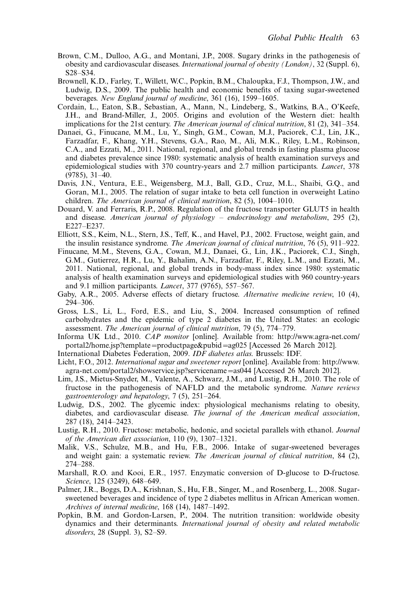- Brown, C.M., Dulloo, A.G., and Montani, J.P., 2008. Sugary drinks in the pathogenesis of obesity and cardiovascular diseases. International journal of obesity (London), 32 (Suppl. 6), S28-S34.
- Brownell, K.D., Farley, T., Willett, W.C., Popkin, B.M., Chaloupka, F.J., Thompson, J.W., and Ludwig, D.S., 2009. The public health and economic benefits of taxing sugar-sweetened beverages. New England journal of medicine, 361 (16), 1599-1605.
- Cordain, L., Eaton, S.B., Sebastian, A., Mann, N., Lindeberg, S., Watkins, B.A., O'Keefe, J.H., and Brand-Miller, J., 2005. Origins and evolution of the Western diet: health implications for the 21st century. The American journal of clinical nutrition, 81 (2), 341–354.
- Danaei, G., Finucane, M.M., Lu, Y., Singh, G.M., Cowan, M.J., Paciorek, C.J., Lin, J.K., Farzadfar, F., Khang, Y.H., Stevens, G.A., Rao, M., Ali, M.K., Riley, L.M., Robinson, C.A., and Ezzati, M., 2011. National, regional, and global trends in fasting plasma glucose and diabetes prevalence since 1980: systematic analysis of health examination surveys and epidemiological studies with 370 country-years and 2.7 million participants. Lancet, 378 (9785), 31-40.
- Davis, J.N., Ventura, E.E., Weigensberg, M.J., Ball, G.D., Cruz, M.L., Shaibi, G.Q., and Goran, M.I., 2005. The relation of sugar intake to beta cell function in overweight Latino children. The American journal of clinical nutrition, 82 (5), 1004-1010.
- Douard, V. and Ferraris, R.P., 2008. Regulation of the fructose transporter GLUT5 in health and disease. American journal of physiology – endocrinology and metabolism, 295 (2), E227-E237.
- Elliott, S.S., Keim, N.L., Stern, J.S., Teff, K., and Havel, P.J., 2002. Fructose, weight gain, and the insulin resistance syndrome. The American journal of clinical nutrition, 76 (5), 911–922.
- Finucane, M.M., Stevens, G.A., Cowan, M.J., Danaei, G., Lin, J.K., Paciorek, C.J., Singh, G.M., Gutierrez, H.R., Lu, Y., Bahalim, A.N., Farzadfar, F., Riley, L.M., and Ezzati, M., 2011. National, regional, and global trends in body-mass index since 1980: systematic analysis of health examination surveys and epidemiological studies with 960 country-years and 9.1 million participants. *Lancet*, 377 (9765), 557–567.
- Gaby, A.R., 2005. Adverse effects of dietary fructose. Alternative medicine review, 10 (4), 294-306.
- Gross, L.S., Li, L., Ford, E.S., and Liu, S., 2004. Increased consumption of refined carbohydrates and the epidemic of type 2 diabetes in the United States: an ecologic assessment. The American journal of clinical nutrition, 79 (5), 774-779.
- Informa UK Ltd., 2010. CAP monitor [online]. Available from: [http://www.agra-net.com/](http://www.agra-net.com/portal2/home.jsp?template=productpage&pubid=ag025) [portal2/home.jsp?template](http://www.agra-net.com/portal2/home.jsp?template=productpage&pubid=ag025)=[productpage&pubid](http://www.agra-net.com/portal2/home.jsp?template=productpage&pubid=ag025)=[ag025](http://www.agra-net.com/portal2/home.jsp?template=productpage&pubid=ag025) [Accessed 26 March 2012].
- International Diabetes Federation, 2009. IDF diabetes atlas. Brussels: IDF.
- Licht, F.O., 2012. International sugar and sweetener report [online]. Available from: [http://www.](http://www.agra-net.com/portal2/showservice.jsp?servicename=as044) [agra-net.com/portal2/showservice.jsp?servicename](http://www.agra-net.com/portal2/showservice.jsp?servicename=as044)=[as044](http://www.agra-net.com/portal2/showservice.jsp?servicename=as044) [Accessed 26 March 2012].
- Lim, J.S., Mietus-Snyder, M., Valente, A., Schwarz, J.M., and Lustig, R.H., 2010. The role of fructose in the pathogenesis of NAFLD and the metabolic syndrome. Nature reviews gastroenterology and hepatology, 7 (5), 251-264.
- Ludwig, D.S., 2002. The glycemic index: physiological mechanisms relating to obesity, diabetes, and cardiovascular disease. The journal of the American medical association, 287 (18), 2414-2423.
- Lustig, R.H., 2010. Fructose: metabolic, hedonic, and societal parallels with ethanol. Journal of the American diet association, 110 (9), 1307-1321.
- Malik, V.S., Schulze, M.B., and Hu, F.B., 2006. Intake of sugar-sweetened beverages and weight gain: a systematic review. The American journal of clinical nutrition, 84 (2), 274-288.
- Marshall, R.O. and Kooi, E.R., 1957. Enzymatic conversion of D-glucose to D-fructose. Science, 125 (3249), 648-649.
- Palmer, J.R., Boggs, D.A., Krishnan, S., Hu, F.B., Singer, M., and Rosenberg, L., 2008. Sugarsweetened beverages and incidence of type 2 diabetes mellitus in African American women. Archives of internal medicine, 168 (14), 1487-1492.
- Popkin, B.M. and Gordon-Larsen, P., 2004. The nutrition transition: worldwide obesity dynamics and their determinants. International journal of obesity and related metabolic disorders, 28 (Suppl. 3), S2-S9.